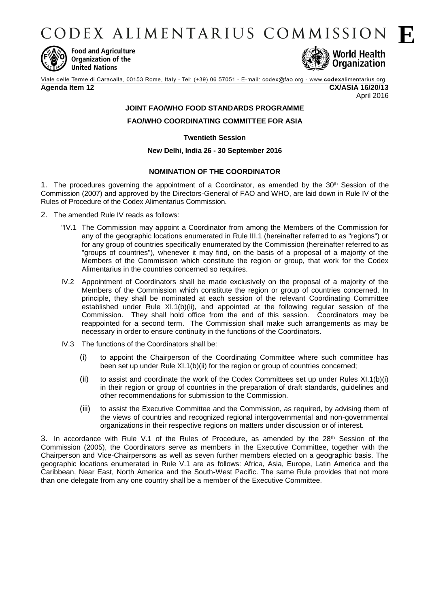CODEX ALIMENTARIUS COMMISSION



**Food and Agriculture** Organization of the **United Nations** 



April 2016

Viale delle Terme di Caracalla, 00153 Rome, Italy - Tel: (+39) 06 57051 - E-mail: codex@fao.org - www.codexalimentarius.org **Agenda Item 12 CX/ASIA 16/20/13**

# **JOINT FAO/WHO FOOD STANDARDS PROGRAMME**

## **FAO/WHO COORDINATING COMMITTEE FOR ASIA**

**Twentieth Session**

### **New Delhi, India 26 - 30 September 2016**

## **NOMINATION OF THE COORDINATOR**

1. The procedures governing the appointment of a Coordinator, as amended by the 30<sup>th</sup> Session of the Commission (2007) and approved by the Directors-General of FAO and WHO, are laid down in Rule IV of the Rules of Procedure of the Codex Alimentarius Commission.

- 2. The amended Rule IV reads as follows:
	- "IV.1 The Commission may appoint a Coordinator from among the Members of the Commission for any of the geographic locations enumerated in Rule III.1 (hereinafter referred to as "regions") or for any group of countries specifically enumerated by the Commission (hereinafter referred to as "groups of countries"), whenever it may find, on the basis of a proposal of a majority of the Members of the Commission which constitute the region or group, that work for the Codex Alimentarius in the countries concerned so requires.
	- IV.2 Appointment of Coordinators shall be made exclusively on the proposal of a majority of the Members of the Commission which constitute the region or group of countries concerned. In principle, they shall be nominated at each session of the relevant Coordinating Committee established under Rule XI.1(b)(ii), and appointed at the following regular session of the Commission. They shall hold office from the end of this session. Coordinators may be reappointed for a second term. The Commission shall make such arrangements as may be necessary in order to ensure continuity in the functions of the Coordinators.
	- IV.3 The functions of the Coordinators shall be:
		- (i) to appoint the Chairperson of the Coordinating Committee where such committee has been set up under Rule XI.1(b)(ii) for the region or group of countries concerned;
		- (ii) to assist and coordinate the work of the Codex Committees set up under Rules XI.1(b)(i) in their region or group of countries in the preparation of draft standards, guidelines and other recommendations for submission to the Commission.
		- (iii) to assist the Executive Committee and the Commission, as required, by advising them of the views of countries and recognized regional intergovernmental and non-governmental organizations in their respective regions on matters under discussion or of interest.

3. In accordance with Rule V.1 of the Rules of Procedure, as amended by the  $28<sup>th</sup>$  Session of the Commission (2005), the Coordinators serve as members in the Executive Committee, together with the Chairperson and Vice-Chairpersons as well as seven further members elected on a geographic basis. The geographic locations enumerated in Rule V.1 are as follows: Africa, Asia, Europe, Latin America and the Caribbean, Near East, North America and the South-West Pacific. The same Rule provides that not more than one delegate from any one country shall be a member of the Executive Committee.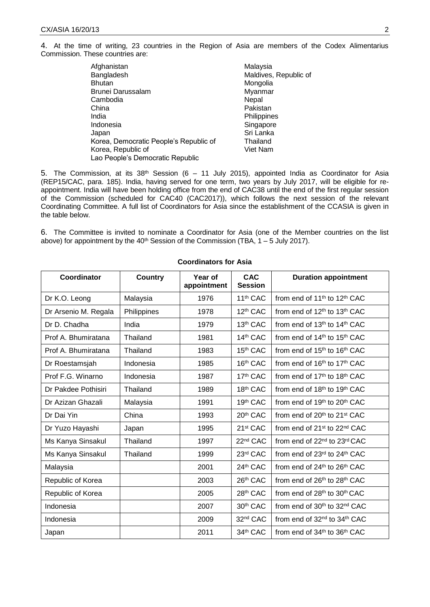4. At the time of writing, 23 countries in the Region of Asia are members of the Codex Alimentarius Commission. These countries are:

| Malaysia              |
|-----------------------|
| Maldives, Republic of |
| Mongolia              |
| Myanmar               |
| Nepal                 |
| Pakistan              |
| Philippines           |
| Singapore             |
| Sri Lanka             |
| Thailand              |
| Viet Nam              |
|                       |
|                       |

5. The Commission, at its 38th Session (6 – 11 July 2015), appointed India as Coordinator for Asia (REP15/CAC, para. 185). India, having served for one term, two years by July 2017, will be eligible for reappointment. India will have been holding office from the end of CAC38 until the end of the first regular session of the Commission (scheduled for CAC40 (CAC2017)), which follows the next session of the relevant Coordinating Committee. A full list of Coordinators for Asia since the establishment of the CCASIA is given in the table below.

6. The Committee is invited to nominate a Coordinator for Asia (one of the Member countries on the list above) for appointment by the  $40<sup>th</sup>$  Session of the Commission (TBA,  $1 - 5$  July 2017).

| Coordinator          | <b>Country</b> | Year of<br>appointment | <b>CAC</b><br><b>Session</b> | <b>Duration appointment</b>                          |
|----------------------|----------------|------------------------|------------------------------|------------------------------------------------------|
| Dr K.O. Leong        | Malaysia       | 1976                   | 11 <sup>th</sup> CAC         | from end of 11 <sup>th</sup> to 12 <sup>th</sup> CAC |
| Dr Arsenio M. Regala | Philippines    | 1978                   | 12th CAC                     | from end of 12 <sup>th</sup> to 13 <sup>th</sup> CAC |
| Dr D. Chadha         | India          | 1979                   | 13th CAC                     | from end of 13th to 14th CAC                         |
| Prof A. Bhumiratana  | Thailand       | 1981                   | 14th CAC                     | from end of 14 <sup>th</sup> to 15 <sup>th</sup> CAC |
| Prof A. Bhumiratana  | Thailand       | 1983                   | 15th CAC                     | from end of 15 <sup>th</sup> to 16 <sup>th</sup> CAC |
| Dr Roestamsjah       | Indonesia      | 1985                   | 16th CAC                     | from end of 16 <sup>th</sup> to 17 <sup>th</sup> CAC |
| Prof F.G. Winarno    | Indonesia      | 1987                   | 17th CAC                     | from end of 17th to 18th CAC                         |
| Dr Pakdee Pothisiri  | Thailand       | 1989                   | 18th CAC                     | from end of 18 <sup>th</sup> to 19 <sup>th</sup> CAC |
| Dr Azizan Ghazali    | Malaysia       | 1991                   | 19th CAC                     | from end of 19 <sup>th</sup> to 20 <sup>th</sup> CAC |
| Dr Dai Yin           | China          | 1993                   | 20th CAC                     | from end of 20 <sup>th</sup> to 21 <sup>st</sup> CAC |
| Dr Yuzo Hayashi      | Japan          | 1995                   | 21 <sup>st</sup> CAC         | from end of 21 <sup>st</sup> to 22 <sup>nd</sup> CAC |
| Ms Kanya Sinsakul    | Thailand       | 1997                   | 22 <sup>nd</sup> CAC         | from end of 22 <sup>nd</sup> to 23 <sup>rd</sup> CAC |
| Ms Kanya Sinsakul    | Thailand       | 1999                   | 23rd CAC                     | from end of 23rd to 24th CAC                         |
| Malaysia             |                | 2001                   | 24th CAC                     | from end of 24th to 26th CAC                         |
| Republic of Korea    |                | 2003                   | 26th CAC                     | from end of 26 <sup>th</sup> to 28 <sup>th</sup> CAC |
| Republic of Korea    |                | 2005                   | 28th CAC                     | from end of 28 <sup>th</sup> to 30 <sup>th</sup> CAC |
| Indonesia            |                | 2007                   | 30th CAC                     | from end of 30th to 32nd CAC                         |
| Indonesia            |                | 2009                   | 32 <sup>nd</sup> CAC         | from end of 32 <sup>nd</sup> to 34 <sup>th</sup> CAC |
| Japan                |                | 2011                   | 34th CAC                     | from end of 34 <sup>th</sup> to 36 <sup>th</sup> CAC |

### **Coordinators for Asia**